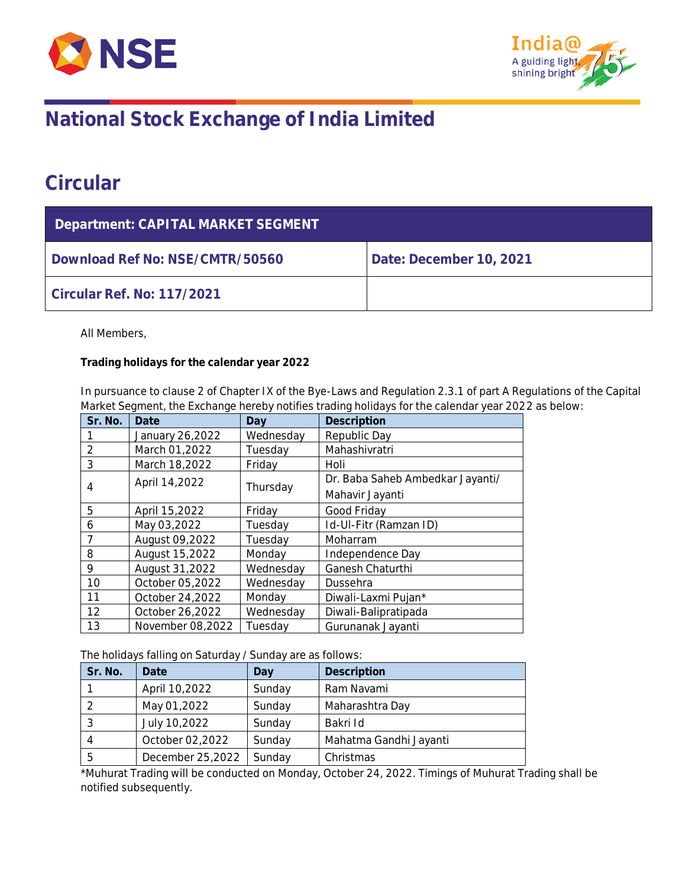



## **Circular**

| Department: CAPITAL MARKET SEGMENT |                         |  |  |
|------------------------------------|-------------------------|--|--|
| Download Ref No: NSE/CMTR/50560    | Date: December 10, 2021 |  |  |
| Circular Ref. No: 117/2021         |                         |  |  |

All Members,

**Trading holidays for the calendar year 2022**

In pursuance to clause 2 of Chapter IX of the Bye-Laws and Regulation 2.3.1 of part A Regulations of the Capital Market Segment, the Exchange hereby notifies trading holidays for the calendar year 2022 as below:

| Sr. No.        | Date             | Day       | Description                      |  |
|----------------|------------------|-----------|----------------------------------|--|
|                | January 26,2022  | Wednesday | Republic Day                     |  |
| $\overline{2}$ | March 01,2022    | Tuesday   | Mahashivratri                    |  |
| 3              | March 18,2022    | Friday    | Holi                             |  |
|                | April 14,2022    |           | Dr. Baba Saheb Ambedkar Jayanti/ |  |
| 4              |                  | Thursday  | Mahavir Jayanti                  |  |
| 5              | April 15,2022    | Friday    | Good Friday                      |  |
| 6              | May 03,2022      | Tuesday   | Id-UI-Fitr (Ramzan ID)           |  |
| 7              | August 09,2022   | Tuesday   | Moharram                         |  |
| 8              | August 15,2022   | Monday    | Independence Day                 |  |
| 9              | August 31,2022   | Wednesday | Ganesh Chaturthi                 |  |
| 10             | October 05,2022  | Wednesday | Dussehra                         |  |
| 11             | October 24,2022  | Monday    | Diwali-Laxmi Pujan*              |  |
| 12             | October 26,2022  | Wednesday | Diwali-Balipratipada             |  |
| 13             | November 08,2022 | Tuesday   | Gurunanak Jayanti                |  |

The holidays falling on Saturday / Sunday are as follows:

| Sr. No. | Date             | Day    | Description            |
|---------|------------------|--------|------------------------|
|         | April 10,2022    | Sunday | Ram Navami             |
|         | May 01,2022      | Sunday | Maharashtra Day        |
|         | July 10,2022     | Sunday | Bakri Id               |
| 4       | October 02,2022  | Sunday | Mahatma Gandhi Jayanti |
| .5      | December 25,2022 | Sunday | Christmas              |

\*Muhurat Trading will be conducted on Monday, October 24, 2022. Timings of Muhurat Trading shall be notified subsequently.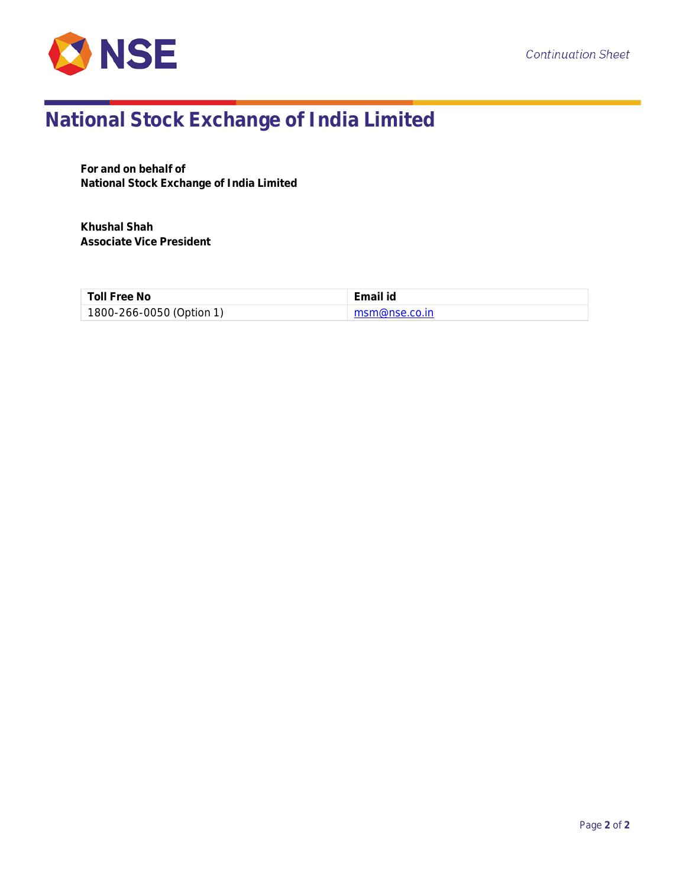

**For and on behalf of National Stock Exchange of India Limited**

**Khushal Shah Associate Vice President**

| Toll Free No             | Email id              |
|--------------------------|-----------------------|
| 1800-266-0050 (Option 1) | $\mid$ msm@nse.co.in. |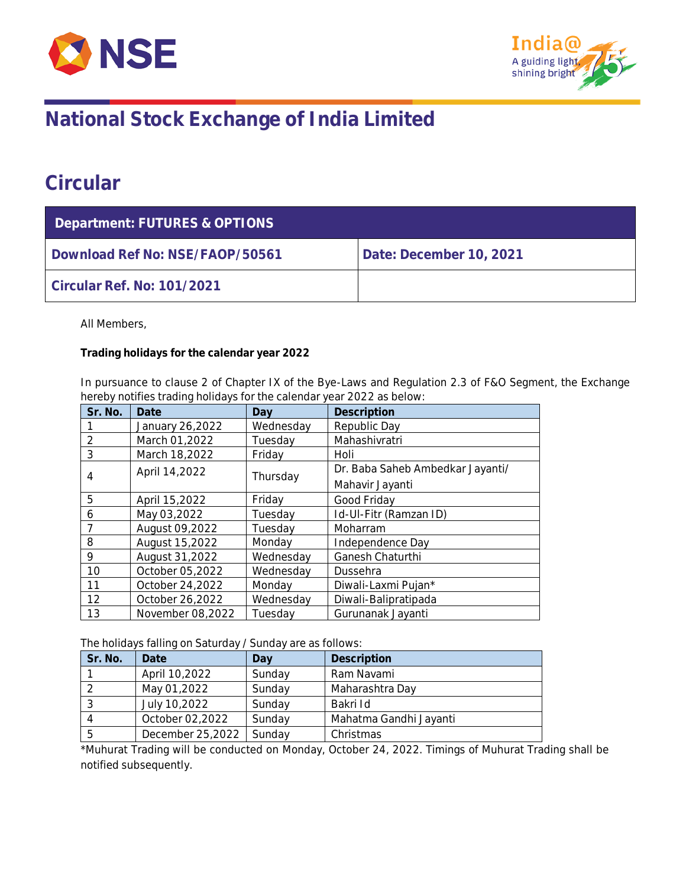



## **Circular**

| Department: FUTURES & OPTIONS   |                         |  |  |
|---------------------------------|-------------------------|--|--|
| Download Ref No: NSE/FAOP/50561 | Date: December 10, 2021 |  |  |
| Circular Ref. No: 101/2021      |                         |  |  |

All Members,

**Trading holidays for the calendar year 2022**

In pursuance to clause 2 of Chapter IX of the Bye-Laws and Regulation 2.3 of F&O Segment, the Exchange hereby notifies trading holidays for the calendar year 2022 as below:

| Sr. No.        | Date             | Dav       | Description                      |
|----------------|------------------|-----------|----------------------------------|
|                | January 26,2022  | Wednesday | Republic Day                     |
| $\overline{2}$ | March 01,2022    | Tuesday   | Mahashivratri                    |
| 3              | March 18,2022    | Friday    | Holi                             |
|                | April 14,2022    |           | Dr. Baba Saheb Ambedkar Jayanti/ |
| 4              |                  | Thursday  | Mahavir Jayanti                  |
| 5              | April 15,2022    | Fridav    | Good Friday                      |
| 6              | May 03,2022      | Tuesdav   | Id-UI-Fitr (Ramzan ID)           |
| $\overline{7}$ | August 09,2022   | Tuesday   | Moharram                         |
| 8              | August 15,2022   | Monday    | Independence Day                 |
| 9              | August 31,2022   | Wednesday | Ganesh Chaturthi                 |
| 10             | October 05,2022  | Wednesday | Dussehra                         |
| 11             | October 24,2022  | Monday    | Diwali-Laxmi Pujan*              |
| 12             | October 26,2022  | Wednesday | Diwali-Balipratipada             |
| 13             | November 08,2022 | Tuesday   | Gurunanak Jayanti                |

The holidays falling on Saturday / Sunday are as follows:

| Sr. No. | Date             | Day    | Description            |
|---------|------------------|--------|------------------------|
|         | April 10,2022    | Sunday | Ram Navami             |
|         | May 01,2022      | Sunday | Maharashtra Day        |
|         | July 10,2022     | Sunday | Bakri Id               |
|         | October 02,2022  | Sunday | Mahatma Gandhi Jayanti |
|         | December 25,2022 | Sunday | Christmas              |

\*Muhurat Trading will be conducted on Monday, October 24, 2022. Timings of Muhurat Trading shall be notified subsequently.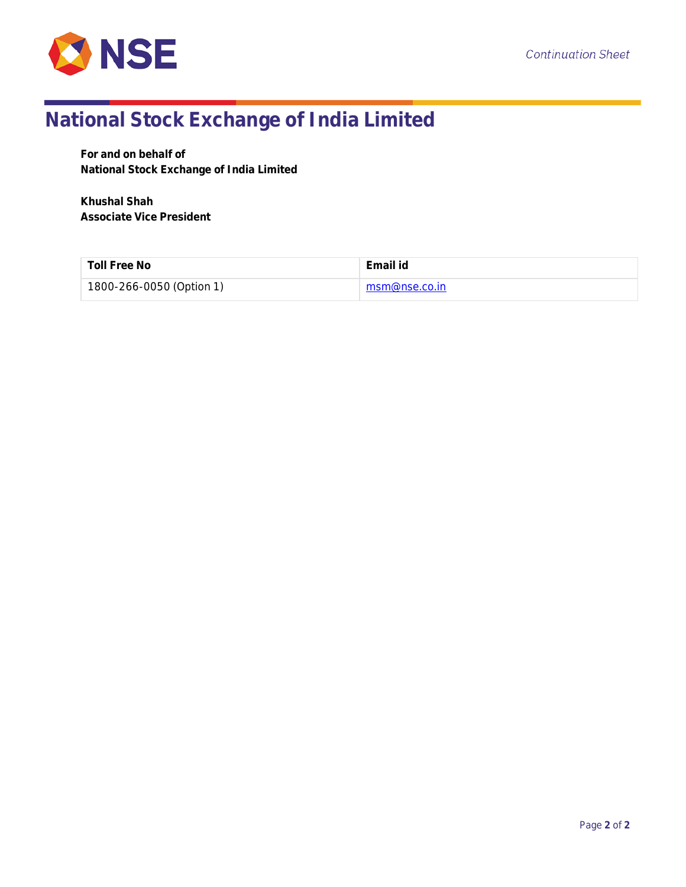

**For and on behalf of National Stock Exchange of India Limited**

**Khushal Shah Associate Vice President**

| Toll Free No             | Email id      |
|--------------------------|---------------|
| 1800-266-0050 (Option 1) | msm@nse.co.in |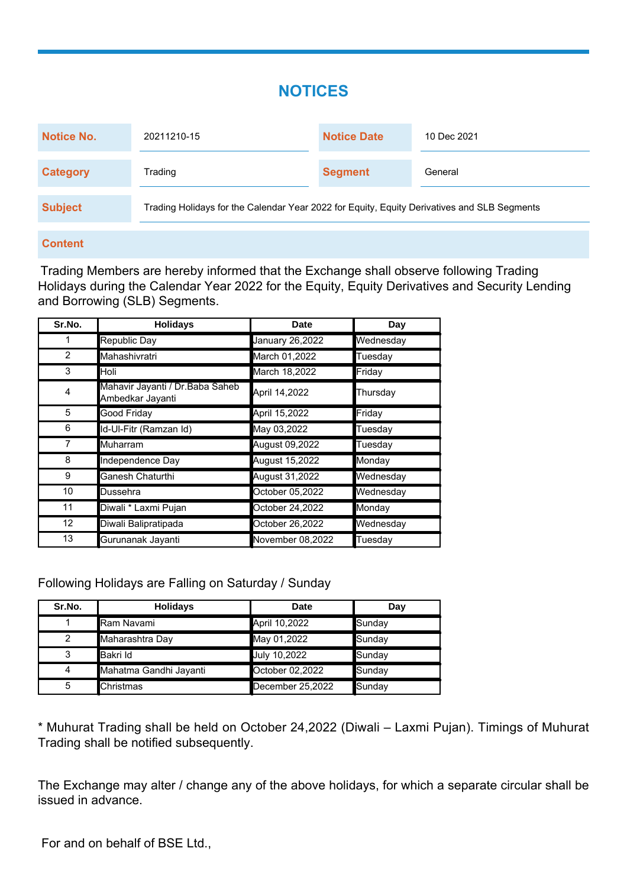### **NOTICES**

| <b>Notice No.</b> | 20211210-15                                                                                 | <b>Notice Date</b> | 10 Dec 2021 |
|-------------------|---------------------------------------------------------------------------------------------|--------------------|-------------|
| <b>Category</b>   | Trading                                                                                     | <b>Segment</b>     | General     |
| <b>Subject</b>    | Trading Holidays for the Calendar Year 2022 for Equity, Equity Derivatives and SLB Segments |                    |             |

#### **Content**

Trading Members are hereby informed that the Exchange shall observe following Trading Holidays during the Calendar Year 2022 for the Equity, Equity Derivatives and Security Lending and Borrowing (SLB) Segments.

| Sr.No.         | <b>Holidays</b>                                      | <b>Date</b>      | Day       |
|----------------|------------------------------------------------------|------------------|-----------|
|                | Republic Day                                         | January 26,2022  | Wednesday |
| $\overline{2}$ | Mahashivratri                                        | March 01,2022    | Tuesday   |
| 3              | Holi                                                 | March 18,2022    | Friday    |
| 4              | Mahavir Jayanti / Dr. Baba Saheb<br>Ambedkar Jayanti | April 14,2022    | Thursday  |
| 5              | Good Friday                                          | April 15,2022    | Friday    |
| 6              | Id-Ul-Fitr (Ramzan Id)                               | May 03,2022      | Tuesday   |
| 7              | Muharram                                             | August 09,2022   | Tuesday   |
| 8              | Independence Day                                     | August 15,2022   | Monday    |
| 9              | Ganesh Chaturthi                                     | August 31,2022   | Wednesday |
| 10             | Dussehra                                             | October 05,2022  | Wednesday |
| 11             | Diwali * Laxmi Pujan                                 | October 24,2022  | Monday    |
| 12             | Diwali Balipratipada                                 | October 26,2022  | Wednesday |
| 13             | Gurunanak Jayanti                                    | November 08,2022 | Tuesday   |

Following Holidays are Falling on Saturday / Sunday

| Sr.No.         | <b>Holidays</b>        | Date             | Day    |
|----------------|------------------------|------------------|--------|
|                | Ram Navami             | April 10,2022    | Sunday |
| $\overline{2}$ | Maharashtra Day        | May 01,2022      | Sunday |
| 3              | ∎Bakri Id              | July 10,2022     | Sunday |
| 4              | Mahatma Gandhi Jayanti | October 02,2022  | Sunday |
| 5              | <b>Christmas</b>       | December 25,2022 | Sunday |

\* Muhurat Trading shall be held on October 24,2022 (Diwali – Laxmi Pujan). Timings of Muhurat Trading shall be notified subsequently.

The Exchange may alter / change any of the above holidays, for which a separate circular shall be issued in advance.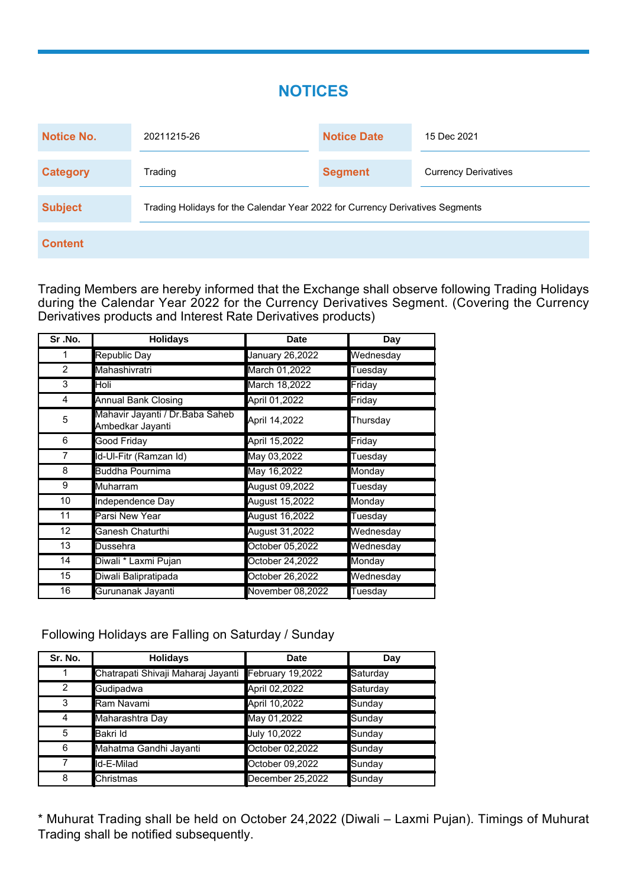#### **NOTICES**

| Notice No.      | 20211215-26                                                                   | <b>Notice Date</b> | 15 Dec 2021                 |  |
|-----------------|-------------------------------------------------------------------------------|--------------------|-----------------------------|--|
| <b>Category</b> | Trading                                                                       | <b>Segment</b>     | <b>Currency Derivatives</b> |  |
| <b>Subject</b>  | Trading Holidays for the Calendar Year 2022 for Currency Derivatives Segments |                    |                             |  |
| <b>Content</b>  |                                                                               |                    |                             |  |

Trading Members are hereby informed that the Exchange shall observe following Trading Holidays during the Calendar Year 2022 for the Currency Derivatives Segment. (Covering the Currency Derivatives products and Interest Rate Derivatives products)

| Sr.No.          | <b>Holidays</b>                                      | <b>Date</b>      | Day       |
|-----------------|------------------------------------------------------|------------------|-----------|
| 1               | <b>Republic Day</b>                                  | January 26,2022  | Wednesday |
| $\overline{2}$  | Mahashivratri                                        | March 01,2022    | Tuesday   |
| 3               | Holi                                                 | March 18,2022    | Friday    |
| 4               | <b>Annual Bank Closing</b>                           | April 01,2022    | Friday    |
| 5               | Mahavir Jayanti / Dr. Baba Saheb<br>Ambedkar Jayanti | April 14,2022    | Thursday  |
| 6               | Good Friday                                          | April 15,2022    | Friday    |
| 7               | Id-Ul-Fitr (Ramzan Id)                               | May 03,2022      | Tuesday   |
| 8               | Buddha Pournima                                      | May 16,2022      | Monday    |
| 9               | Muharram                                             | August 09,2022   | Tuesday   |
| 10              | Independence Day                                     | August 15,2022   | Monday    |
| 11              | Parsi New Year                                       | August 16,2022   | Tuesday   |
| 12 <sup>2</sup> | Ganesh Chaturthi                                     | August 31,2022   | Wednesday |
| 13              | Dussehra                                             | October 05,2022  | Wednesday |
| 14              | Diwali * Laxmi Pujan                                 | October 24,2022  | Monday    |
| 15              | Diwali Balipratipada                                 | October 26,2022  | Wednesday |
| 16              | Gurunanak Jayanti                                    | November 08,2022 | Tuesday   |

Following Holidays are Falling on Saturday / Sunday

| Sr. No. | <b>Holidays</b>                    | <b>Date</b>      | Day      |
|---------|------------------------------------|------------------|----------|
|         | Chatrapati Shivaji Maharaj Jayanti | February 19,2022 | Saturday |
| 2       | Gudipadwa                          | April 02,2022    | Saturday |
| 3       | Ram Navami                         | April 10,2022    | Sunday   |
| 4       | Maharashtra Day                    | May 01,2022      | Sunday   |
| 5       | Bakri Id                           | July 10,2022     | Sunday   |
| 6       | Mahatma Gandhi Jayanti             | October 02,2022  | Sunday   |
| 7       | Id-E-Milad                         | October 09,2022  | Sunday   |
| 8       | Christmas                          | December 25,2022 | Sunday   |

\* Muhurat Trading shall be held on October 24,2022 (Diwali – Laxmi Pujan). Timings of Muhurat Trading shall be notified subsequently.